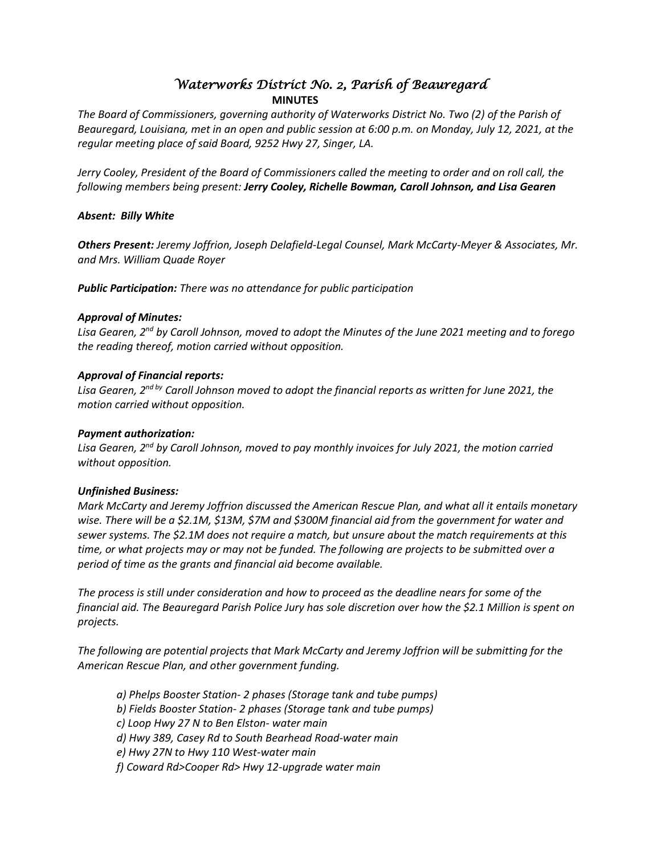# *Waterworks District No. 2, Parish of Beauregard*  **MINUTES**

*The Board of Commissioners, governing authority of Waterworks District No. Two (2) of the Parish of Beauregard, Louisiana, met in an open and public session at 6:00 p.m. on Monday, July 12, 2021, at the regular meeting place of said Board, 9252 Hwy 27, Singer, LA.*

*Jerry Cooley, President of the Board of Commissioners called the meeting to order and on roll call, the following members being present: Jerry Cooley, Richelle Bowman, Caroll Johnson, and Lisa Gearen*

## *Absent: Billy White*

*Others Present: Jeremy Joffrion, Joseph Delafield-Legal Counsel, Mark McCarty-Meyer & Associates, Mr. and Mrs. William Quade Royer*

*Public Participation: There was no attendance for public participation*

## *Approval of Minutes:*

*Lisa Gearen, 2nd by Caroll Johnson, moved to adopt the Minutes of the June 2021 meeting and to forego the reading thereof, motion carried without opposition.*

## *Approval of Financial reports:*

*Lisa Gearen, 2nd by Caroll Johnson moved to adopt the financial reports as written for June 2021, the motion carried without opposition.*

## *Payment authorization:*

*Lisa Gearen, 2nd by Caroll Johnson, moved to pay monthly invoices for July 2021, the motion carried without opposition.*

#### *Unfinished Business:*

*Mark McCarty and Jeremy Joffrion discussed the American Rescue Plan, and what all it entails monetary wise. There will be a \$2.1M, \$13M, \$7M and \$300M financial aid from the government for water and sewer systems. The \$2.1M does not require a match, but unsure about the match requirements at this time, or what projects may or may not be funded. The following are projects to be submitted over a period of time as the grants and financial aid become available.* 

*The process is still under consideration and how to proceed as the deadline nears for some of the financial aid. The Beauregard Parish Police Jury has sole discretion over how the \$2.1 Million is spent on projects.*

*The following are potential projects that Mark McCarty and Jeremy Joffrion will be submitting for the American Rescue Plan, and other government funding.*

- *a) Phelps Booster Station- 2 phases (Storage tank and tube pumps) b) Fields Booster Station- 2 phases (Storage tank and tube pumps) c) Loop Hwy 27 N to Ben Elston- water main*
- *d) Hwy 389, Casey Rd to South Bearhead Road-water main*
- *e) Hwy 27N to Hwy 110 West-water main*
- *f) Coward Rd>Cooper Rd> Hwy 12-upgrade water main*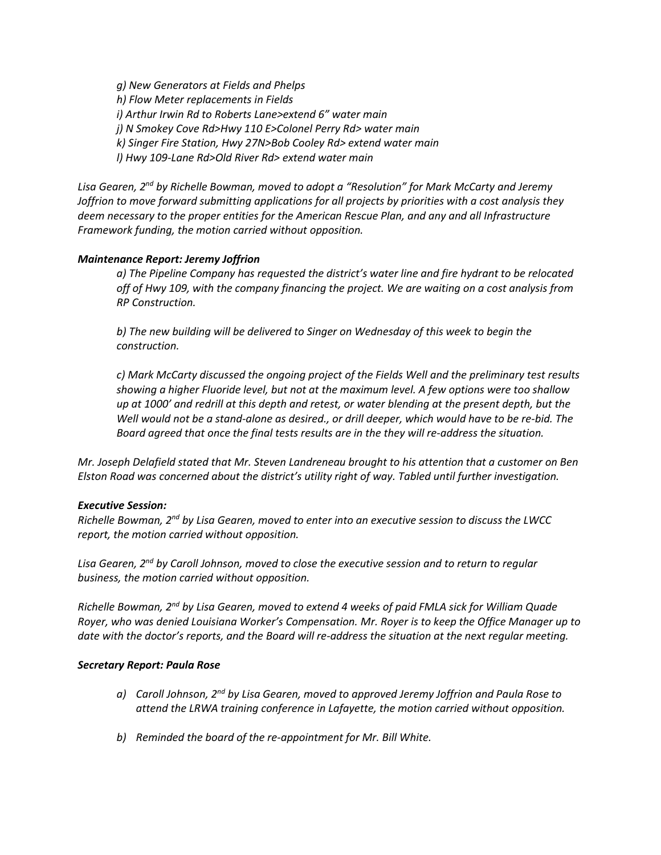*g) New Generators at Fields and Phelps h) Flow Meter replacements in Fields i) Arthur Irwin Rd to Roberts Lane>extend 6" water main j) N Smokey Cove Rd>Hwy 110 E>Colonel Perry Rd> water main k) Singer Fire Station, Hwy 27N>Bob Cooley Rd> extend water main l) Hwy 109-Lane Rd>Old River Rd> extend water main*

*Lisa Gearen, 2nd by Richelle Bowman, moved to adopt a "Resolution" for Mark McCarty and Jeremy Joffrion to move forward submitting applications for all projects by priorities with a cost analysis they deem necessary to the proper entities for the American Rescue Plan, and any and all Infrastructure Framework funding, the motion carried without opposition.*

#### *Maintenance Report: Jeremy Joffrion*

*a) The Pipeline Company has requested the district's water line and fire hydrant to be relocated off of Hwy 109, with the company financing the project. We are waiting on a cost analysis from RP Construction.*

*b) The new building will be delivered to Singer on Wednesday of this week to begin the construction.*

*c) Mark McCarty discussed the ongoing project of the Fields Well and the preliminary test results showing a higher Fluoride level, but not at the maximum level. A few options were too shallow up at 1000' and redrill at this depth and retest, or water blending at the present depth, but the Well would not be a stand-alone as desired., or drill deeper, which would have to be re-bid. The Board agreed that once the final tests results are in the they will re-address the situation.* 

*Mr. Joseph Delafield stated that Mr. Steven Landreneau brought to his attention that a customer on Ben Elston Road was concerned about the district's utility right of way. Tabled until further investigation.*

#### *Executive Session:*

*Richelle Bowman, 2nd by Lisa Gearen, moved to enter into an executive session to discuss the LWCC report, the motion carried without opposition.*

*Lisa Gearen, 2nd by Caroll Johnson, moved to close the executive session and to return to regular business, the motion carried without opposition.*

*Richelle Bowman, 2nd by Lisa Gearen, moved to extend 4 weeks of paid FMLA sick for William Quade Royer, who was denied Louisiana Worker's Compensation. Mr. Royer is to keep the Office Manager up to date with the doctor's reports, and the Board will re-address the situation at the next regular meeting.*

#### *Secretary Report: Paula Rose*

- *a) Caroll Johnson, 2nd by Lisa Gearen, moved to approved Jeremy Joffrion and Paula Rose to attend the LRWA training conference in Lafayette, the motion carried without opposition.*
- *b) Reminded the board of the re-appointment for Mr. Bill White.*